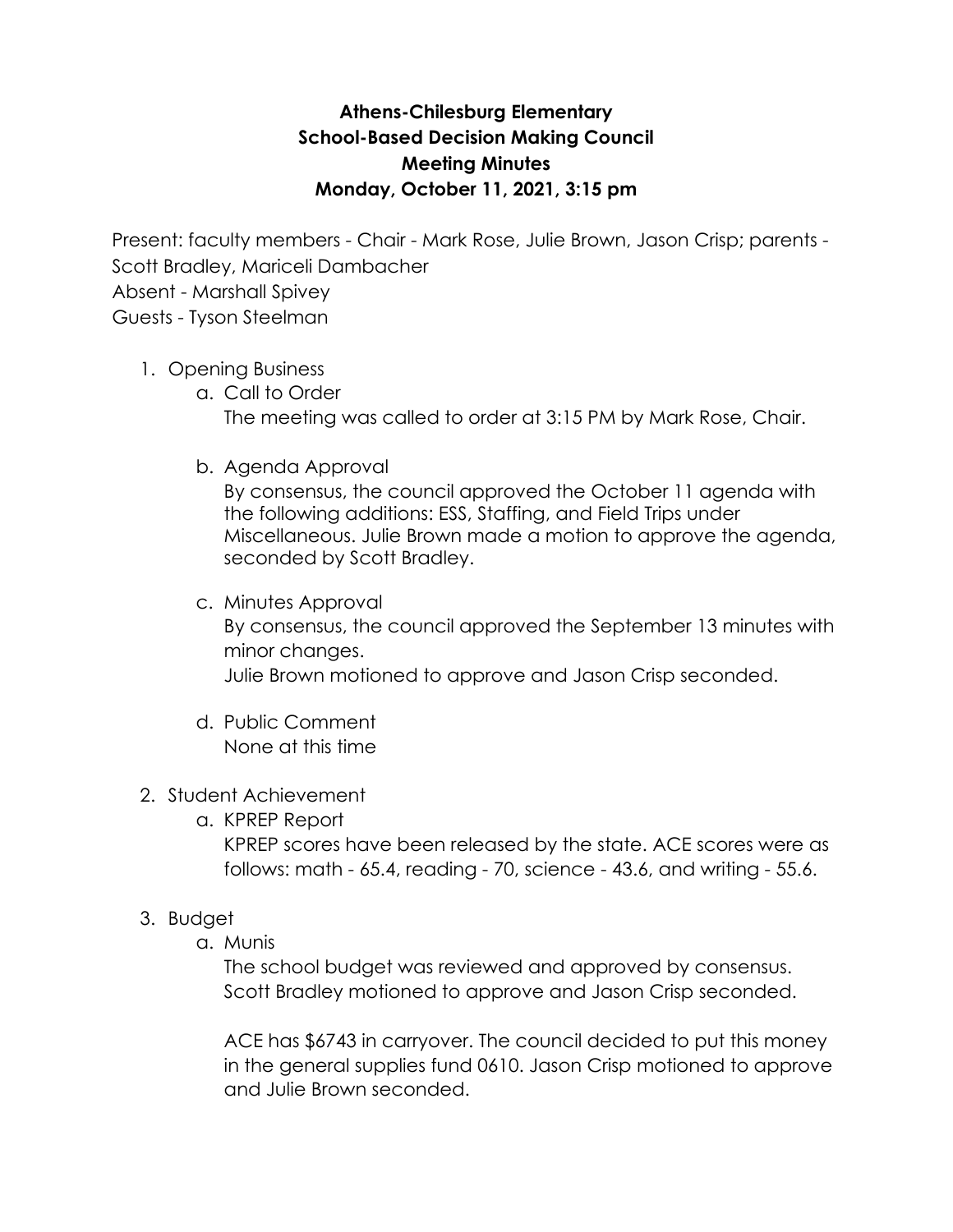# **Athens-Chilesburg Elementary School-Based Decision Making Council Meeting Minutes Monday, October 11, 2021, 3:15 pm**

Present: faculty members - Chair - Mark Rose, Julie Brown, Jason Crisp; parents - Scott Bradley, Mariceli Dambacher Absent - Marshall Spivey Guests - Tyson Steelman

## 1. Opening Business

- a. Call to Order The meeting was called to order at 3:15 PM by Mark Rose, Chair.
- b. Agenda Approval

By consensus, the council approved the October 11 agenda with the following additions: ESS, Staffing, and Field Trips under Miscellaneous. Julie Brown made a motion to approve the agenda, seconded by Scott Bradley.

### c. Minutes Approval

By consensus, the council approved the September 13 minutes with minor changes.

Julie Brown motioned to approve and Jason Crisp seconded.

d. Public Comment None at this time

## 2. Student Achievement

a. KPREP Report

KPREP scores have been released by the state. ACE scores were as follows: math - 65.4, reading - 70, science - 43.6, and writing - 55.6.

## 3. Budget

a. Munis

The school budget was reviewed and approved by consensus. Scott Bradley motioned to approve and Jason Crisp seconded.

ACE has \$6743 in carryover. The council decided to put this money in the general supplies fund 0610. Jason Crisp motioned to approve and Julie Brown seconded.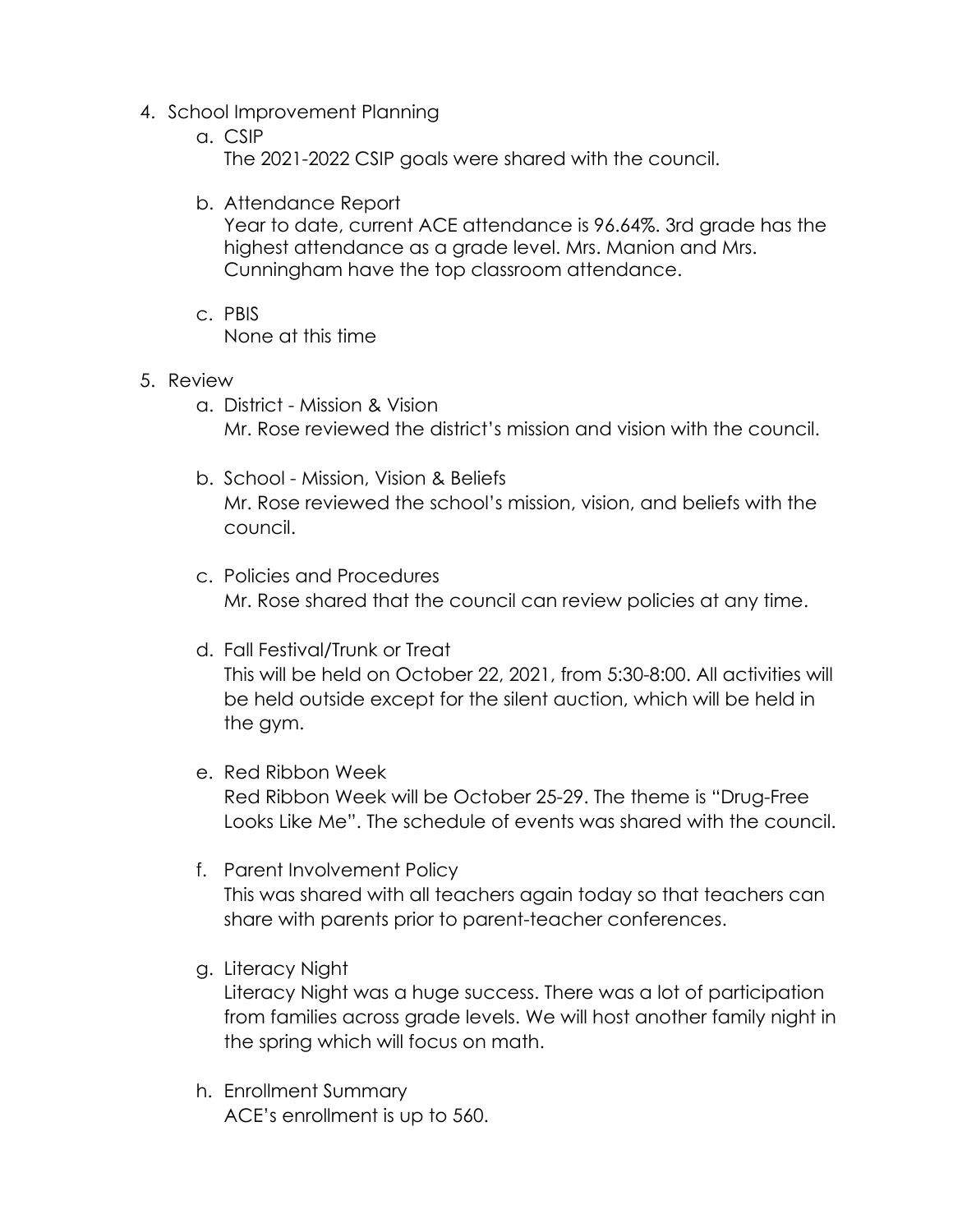- 4. School Improvement Planning
	- a. CSIP The 2021-2022 CSIP goals were shared with the council.
	- b. Attendance Report

Year to date, current ACE attendance is 96.64%. 3rd grade has the highest attendance as a grade level. Mrs. Manion and Mrs. Cunningham have the top classroom attendance.

- c. PBIS None at this time
- 5. Review
	- a. District Mission & Vision Mr. Rose reviewed the district's mission and vision with the council.
	- b. School Mission, Vision & Beliefs Mr. Rose reviewed the school's mission, vision, and beliefs with the council.
	- c. Policies and Procedures Mr. Rose shared that the council can review policies at any time.
	- d. Fall Festival/Trunk or Treat This will be held on October 22, 2021, from 5:30-8:00. All activities will be held outside except for the silent auction, which will be held in the gym.
	- e. Red Ribbon Week Red Ribbon Week will be October 25-29. The theme is "Drug-Free Looks Like Me". The schedule of events was shared with the council.
	- f. Parent Involvement Policy This was shared with all teachers again today so that teachers can share with parents prior to parent-teacher conferences.
	- g. Literacy Night

Literacy Night was a huge success. There was a lot of participation from families across grade levels. We will host another family night in the spring which will focus on math.

h. Enrollment Summary ACE's enrollment is up to 560.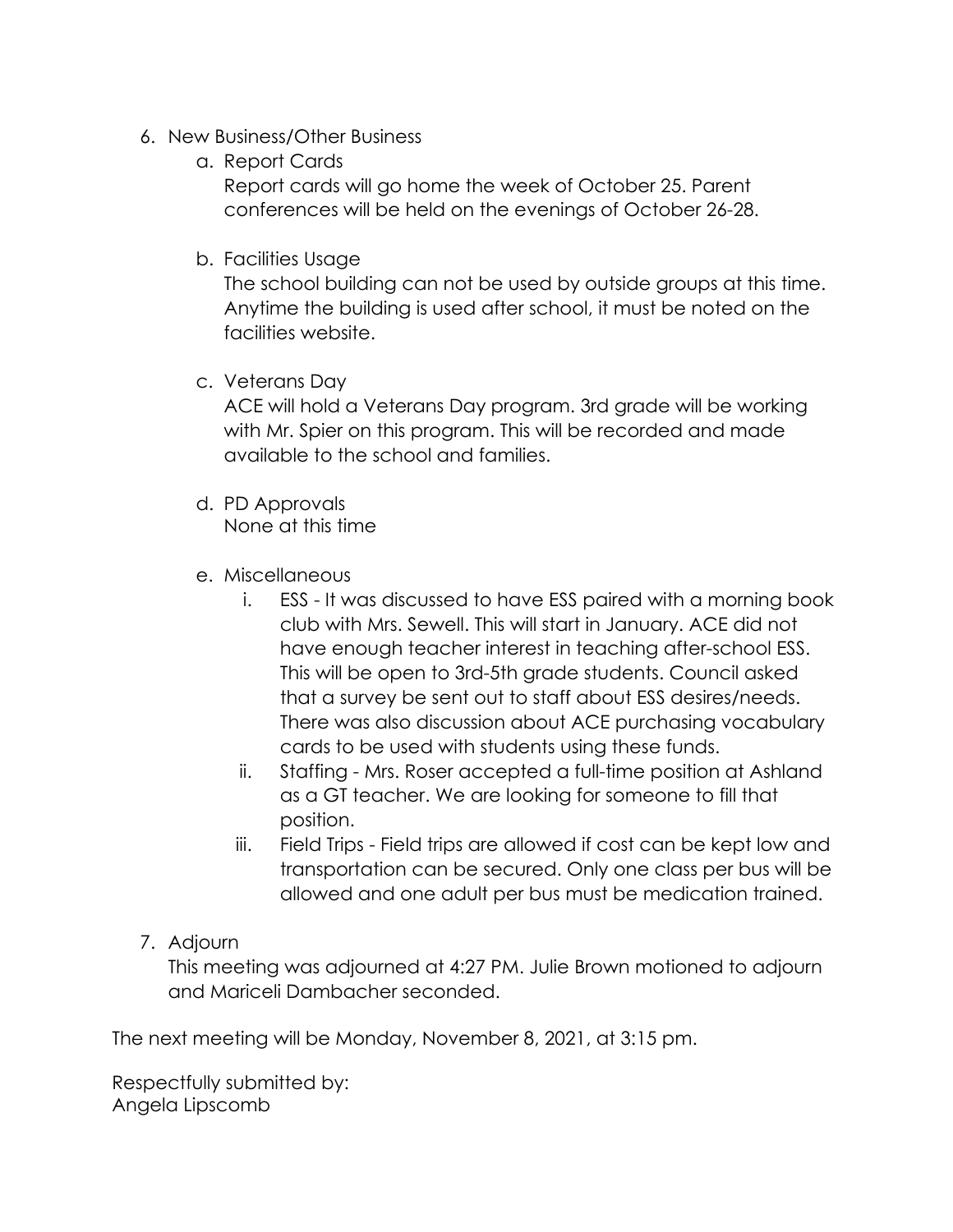- 6. New Business/Other Business
	- a. Report Cards Report cards will go home the week of October 25. Parent conferences will be held on the evenings of October 26-28.
	- b. Facilities Usage

The school building can not be used by outside groups at this time. Anytime the building is used after school, it must be noted on the facilities website.

c. Veterans Day

ACE will hold a Veterans Day program. 3rd grade will be working with Mr. Spier on this program. This will be recorded and made available to the school and families.

- d. PD Approvals None at this time
- e. Miscellaneous
	- i. ESS It was discussed to have ESS paired with a morning book club with Mrs. Sewell. This will start in January. ACE did not have enough teacher interest in teaching after-school ESS. This will be open to 3rd-5th grade students. Council asked that a survey be sent out to staff about ESS desires/needs. There was also discussion about ACE purchasing vocabulary cards to be used with students using these funds.
	- ii. Staffing Mrs. Roser accepted a full-time position at Ashland as a GT teacher. We are looking for someone to fill that position.
	- iii. Field Trips Field trips are allowed if cost can be kept low and transportation can be secured. Only one class per bus will be allowed and one adult per bus must be medication trained.
- 7. Adjourn

This meeting was adjourned at 4:27 PM. Julie Brown motioned to adjourn and Mariceli Dambacher seconded.

The next meeting will be Monday, November 8, 2021, at 3:15 pm.

Respectfully submitted by: Angela Lipscomb